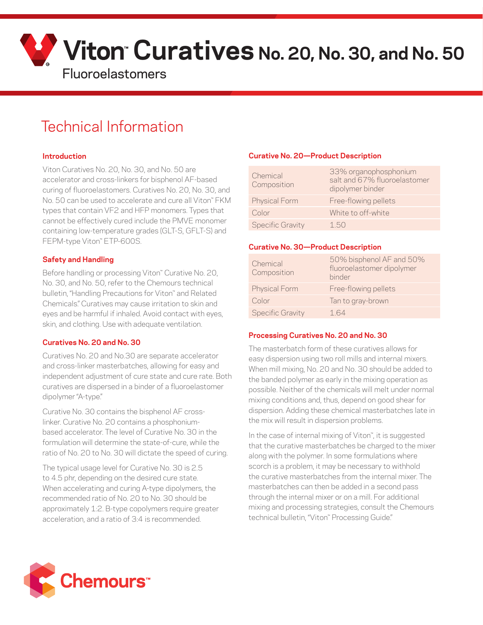

# Technical Information

# **Introduction**

Viton Curatives No. 20, No. 30, and No. 50 are accelerator and cross-linkers for bisphenol AF-based curing of fluoroelastomers. Curatives No. 20, No. 30, and No. 50 can be used to accelerate and cure all Viton™ FKM types that contain VF2 and HFP monomers. Types that cannot be effectively cured include the PMVE monomer containing low-temperature grades (GLT-S, GFLT-S) and FEPM-type Viton™ ETP-600S.

## **Safety and Handling**

Before handling or processing Viton™ Curative No. 20, No. 30, and No. 50, refer to the Chemours technical bulletin, "Handling Precautions for Viton™ and Related Chemicals." Curatives may cause irritation to skin and eyes and be harmful if inhaled. Avoid contact with eyes, skin, and clothing. Use with adequate ventilation.

## **Curatives No. 20 and No. 30**

Curatives No. 20 and No.30 are separate accelerator and cross-linker masterbatches, allowing for easy and independent adjustment of cure state and cure rate. Both curatives are dispersed in a binder of a fluoroelastomer dipolymer "A-type."

Curative No. 30 contains the bisphenol AF crosslinker. Curative No. 20 contains a phosphoniumbased accelerator. The level of Curative No. 30 in the formulation will determine the state-of-cure, while the ratio of No. 20 to No. 30 will dictate the speed of curing.

The typical usage level for Curative No. 30 is 2.5 to 4.5 phr, depending on the desired cure state. When accelerating and curing A-type dipolymers, the recommended ratio of No. 20 to No. 30 should be approximately 1:2. B-type copolymers require greater acceleration, and a ratio of 3:4 is recommended.

# **Curative No. 20—Product Description**

| Chemical<br>Composition | 33% organophosphonium<br>salt and 67% fluoroelastomer<br>dipolymer binder |
|-------------------------|---------------------------------------------------------------------------|
| <b>Physical Form</b>    | Free-flowing pellets                                                      |
| Color                   | White to off-white                                                        |
| <b>Specific Gravity</b> | 1.50                                                                      |

#### **Curative No. 30—Product Description**

| Chemical<br>Composition | 50% bisphenol AF and 50%<br>fluoroelastomer dipolymer<br>binder |
|-------------------------|-----------------------------------------------------------------|
| <b>Physical Form</b>    | Free-flowing pellets                                            |
| Color                   | Tan to gray-brown                                               |
| <b>Specific Gravity</b> | 164                                                             |

#### **Processing Curatives No. 20 and No. 30**

The masterbatch form of these curatives allows for easy dispersion using two roll mills and internal mixers. When mill mixing, No. 20 and No. 30 should be added to the banded polymer as early in the mixing operation as possible. Neither of the chemicals will melt under normal mixing conditions and, thus, depend on good shear for dispersion. Adding these chemical masterbatches late in the mix will result in dispersion problems.

In the case of internal mixing of Viton™, it is suggested that the curative masterbatches be charged to the mixer along with the polymer. In some formulations where scorch is a problem, it may be necessary to withhold the curative masterbatches from the internal mixer. The masterbatches can then be added in a second pass through the internal mixer or on a mill. For additional mixing and processing strategies, consult the Chemours technical bulletin, "Viton™ Processing Guide."

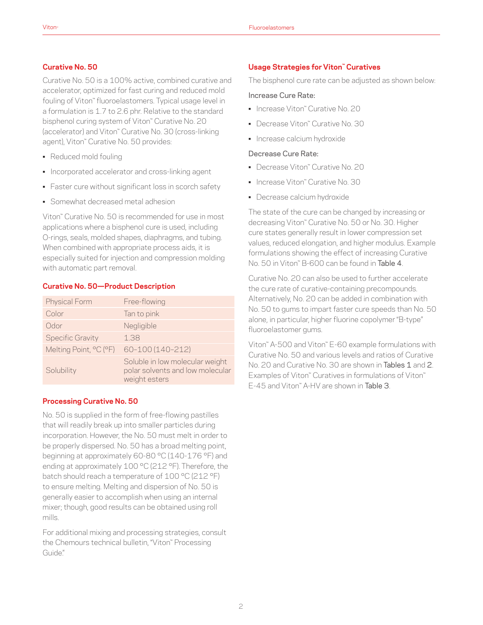## **Curative No. 50**

Curative No. 50 is a 100% active, combined curative and accelerator, optimized for fast curing and reduced mold fouling of Viton™ fluoroelastomers. Typical usage level in a formulation is 1.7 to 2.6 phr. Relative to the standard bisphenol curing system of Viton™ Curative No. 20 (accelerator) and Viton™ Curative No. 30 (cross-linking agent), Viton™ Curative No. 50 provides:

- Reduced mold fouling
- Incorporated accelerator and cross-linking agent
- Faster cure without significant loss in scorch safety
- Somewhat decreased metal adhesion

Viton™ Curative No. 50 is recommended for use in most applications where a bisphenol cure is used, including O-rings, seals, molded shapes, diaphragms, and tubing. When combined with appropriate process aids, it is especially suited for injection and compression molding with automatic part removal.

# **Curative No. 50—Product Description**

| <b>Physical Form</b>    | Free-flowing                                                                         |
|-------------------------|--------------------------------------------------------------------------------------|
| Color                   | Tan to pink                                                                          |
| Odor                    | Negligible                                                                           |
| <b>Specific Gravity</b> | 1.38                                                                                 |
| Melting Point, °C (°F)  | 60-100 (140-212)                                                                     |
| Solubility              | Soluble in low molecular weight<br>polar solvents and low molecular<br>weight esters |

# **Processing Curative No. 50**

No. 50 is supplied in the form of free-flowing pastilles that will readily break up into smaller particles during incorporation. However, the No. 50 must melt in order to be properly dispersed. No. 50 has a broad melting point, beginning at approximately 60-80 °C (140-176 °F) and ending at approximately 100 °C (212 °F). Therefore, the batch should reach a temperature of 100 °C (212 °F) to ensure melting. Melting and dispersion of No. 50 is generally easier to accomplish when using an internal mixer; though, good results can be obtained using roll mills.

For additional mixing and processing strategies, consult the Chemours technical bulletin, "Viton™ Processing Guide."

## **Usage Strategies for Viton™ Curatives**

The bisphenol cure rate can be adjusted as shown below:

#### Increase Cure Rate:

- Increase Viton™ Curative No. 20
- Decrease Viton™ Curative No. 30
- Increase calcium hydroxide

#### Decrease Cure Rate:

- Decrease Viton™ Curative No. 20
- Increase Viton™ Curative No. 30
- Decrease calcium hydroxide

The state of the cure can be changed by increasing or decreasing Viton™ Curative No. 50 or No. 30. Higher cure states generally result in lower compression set values, reduced elongation, and higher modulus. Example formulations showing the effect of increasing Curative No. 50 in Viton™ B-600 can be found in Table 4.

Curative No. 20 can also be used to further accelerate the cure rate of curative-containing precompounds. Alternatively, No. 20 can be added in combination with No. 50 to gums to impart faster cure speeds than No. 50 alone, in particular, higher fluorine copolymer "B-type" fluoroelastomer gums.

Viton™ A-500 and Viton™ E-60 example formulations with Curative No. 50 and various levels and ratios of Curative No. 20 and Curative No. 30 are shown in Tables 1 and 2. Examples of Viton™ Curatives in formulations of Viton™ E-45 and Viton™ A-HV are shown in Table 3.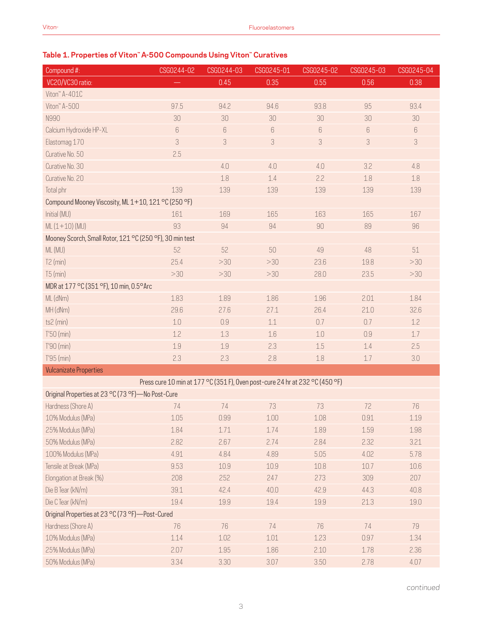# **Table 1. Properties of Viton™ A-500 Compounds Using Viton™ Curatives**

| Compound #:                                                                  | CSG0244-02 | CSG0244-03                | CSG0245-01 | CSG0245-02 | CSG0245-03 | CSG0245-04 |
|------------------------------------------------------------------------------|------------|---------------------------|------------|------------|------------|------------|
| VC20/VC30 ratio:                                                             |            | 0.45                      | 0.35       | 0.55       | 0.56       | 0.38       |
| Viton" A-401C                                                                |            |                           |            |            |            |            |
| Viton" A-500                                                                 | 97.5       | 94.2                      | 94.6       | 93.8       | 95         | 93.4       |
| N990                                                                         | 30         | 30                        | 30         | 30         | 30         | 30         |
| Calcium Hydroxide HP-XL                                                      | $6\,$      | $\,6\,$                   | $\,6\,$    | $6\,$      | $\,6$      | $6\,$      |
| Elastomag 170                                                                | 3          | $\ensuremath{\mathsf{3}}$ | $\sqrt{3}$ | $\sqrt{3}$ | 3          | 3          |
| Curative No. 50                                                              | 2.5        |                           |            |            |            |            |
| Curative No. 30                                                              |            | 4.0                       | 4.0        | 4.0        | 3.2        | 4.8        |
| Curative No. 20                                                              |            | 1.8                       | 1.4        | 2.2        | 1.8        | $1.8\,$    |
| Total phr                                                                    | 139        | 139                       | 139        | 139        | 139        | 139        |
| Compound Mooney Viscosity, ML 1+10, 121 °C (250 °F)                          |            |                           |            |            |            |            |
| Initial (MU)                                                                 | 161        | 169                       | 165        | 163        | 165        | 167        |
| $ML(1+10)(MU)$                                                               | 93         | 94                        | 94         | 90         | 89         | 96         |
| Mooney Scorch, Small Rotor, 121 °C (250 °F), 30 min test                     |            |                           |            |            |            |            |
| ML (MU)                                                                      | 52         | 52                        | 50         | 49         | 48         | 51         |
| $T2$ (min)                                                                   | 25.4       | >30                       | >30        | 23.6       | 19.8       | >30        |
| $T5$ (min)                                                                   | >30        | >30                       | $>30$      | 28.0       | 23.5       | >30        |
| MDR at 177 °C (351 °F), 10 min, 0.5°Arc                                      |            |                           |            |            |            |            |
| ML (dNm)                                                                     | 1.83       | 1.89                      | 1.86       | 1.96       | 2.01       | 1.84       |
| MH (dNm)                                                                     | 29.6       | 27.6                      | 27.1       | 26.4       | 21.0       | 32.6       |
| ts2 (min)                                                                    | $1.0$      | 0.9                       | 1.1        | 0.7        | 0.7        | 1.2        |
| T'50 (min)                                                                   | 1.2        | 1.3                       | 1.6        | $1.0$      | 0.9        | 1.7        |
| T'90 (min)                                                                   | 1.9        | 1.9                       | 2.3        | 1.5        | 1.4        | 2.5        |
| T'95 (min)                                                                   | 2.3        | 2.3                       | 2.8        | 1.8        | 1.7        | 3.0        |
| <b>Vulcanizate Properties</b>                                                |            |                           |            |            |            |            |
| Press cure 10 min at 177 °C (351 F), Oven post-cure 24 hr at 232 °C (450 °F) |            |                           |            |            |            |            |
| Original Properties at 23 °C (73 °F) - No Post-Cure                          |            |                           |            |            |            |            |
| Hardness (Shore A)                                                           | 74         | 74                        | 73         | 73         | 72         | 76         |
| 10% Modulus (MPa)                                                            | $1.05\,$   | 0.99                      | $1.00\,$   | 1.08       | 0.91       | 1.19       |
| 25% Modulus (MPa)                                                            | 1.84       | 1.71                      | 1.74       | 1.89       | 1.59       | 1.98       |
| 50% Modulus (MPa)                                                            | 2.82       | 2.67                      | 2.74       | 2.84       | 2.32       | 3.21       |
| 100% Modulus (MPa)                                                           | 4.91       | 4.84                      | 4.89       | 5.05       | 4.02       | 5.78       |
| Tensile at Break (MPa)                                                       | 9.53       | 10.9                      | 10.9       | 10.8       | 10.7       | 10.6       |
| Elongation at Break (%)                                                      | 208        | 252                       | 247        | 273        | 309        | 207        |
| Die B Tear (kN/m)                                                            | 39.1       | 42.4                      | 40.0       | 42.9       | 44.3       | 40.8       |
| Die C Tear (kN/m)                                                            | 19.4       | 19.9                      | 19.4       | 19.9       | 21.3       | 19.0       |
| Original Properties at 23 °C (73 °F)-Post-Cured                              |            |                           |            |            |            |            |
| Hardness (Shore A)                                                           | 76         | 76                        | 74         | 76         | 74         | 79         |
| 10% Modulus (MPa)                                                            | 1.14       | 1.02                      | 1.01       | 1.23       | 0.97       | 1.34       |
| 25% Modulus (MPa)                                                            | 2.07       | 1.95                      | 1.86       | 2.10       | 1.78       | 2.36       |
| 50% Modulus (MPa)                                                            | 3.34       | 3.30                      | 3.07       | 3.50       | 2.78       | 4.07       |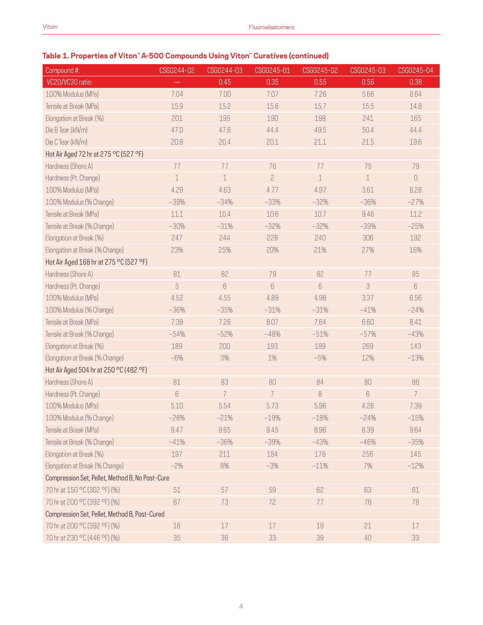| Compound #:                                     | CSG0244-02  | CSG0244-03     | CSG0245-01     | CSG0245-02  | CSG0245-03  | CSG0245-04     |
|-------------------------------------------------|-------------|----------------|----------------|-------------|-------------|----------------|
| VC20/VC30 ratio:                                |             | 0.45           | 0.35           | 0.55        | 0.56        | 0.38           |
| 100% Modulus (MPa)                              | 7.04        | 7.00           | 7.07           | 7.26        | 5.66        | 8.64           |
| Tensile at Break (MPa)                          | 15.9        | 15.2           | 15.6           | 15.7        | 15.5        | 14.8           |
| Elongation at Break (%)                         | 201         | 195            | 190            | 198         | 241         | 165            |
| Die B Tear (kN/m)                               | 47.0        | 47.6           | 44.4           | 49.5        | 50.4        | 44.4           |
| Die C Tear (kN/m)                               | 20.8        | 20.4           | 20.1           | 21.1        | 21.5        | 19.6           |
| Hot Air Aged 72 hr at 275 °C (527 °F)           |             |                |                |             |             |                |
| Hardness (Shore A)                              | 77          | 77             | 76             | 77          | 75          | 79             |
| Hardness (Pt. Change)                           | $\mathbf 1$ | $\mathbf 1$    | $\overline{c}$ | $\mathbf 1$ | $\mathbf 1$ | $\mathbf 0$    |
| 100% Modulus (MPa)                              | 4.29        | 4.63           | 4.77           | 4.97        | 3.61        | 6.28           |
| 100% Modulus (% Change)                         | $-39%$      | $-34%$         | $-33%$         | $-32%$      | $-36%$      | $-27%$         |
| Tensile at Break (MPa)                          | 11.1        | 10.4           | 10.6           | 10.7        | 9.46        | 11.2           |
| Tensile at Break (% Change)                     | $-30%$      | $-31%$         | $-32%$         | $-32%$      | $-39%$      | $-25%$         |
| Elongation at Break (%)                         | 247         | 244            | 228            | 240         | 306         | 192            |
| Elongation at Break (% Change)                  | 23%         | 25%            | 20%            | 21%         | 27%         | 16%            |
| Hot Air Aged 168 hr at 275 °C (527 °F)          |             |                |                |             |             |                |
| Hardness (Shore A)                              | 81          | 82             | 79             | 82          | 77          | 85             |
| Hardness (Pt. Change)                           | 5           | 6              | 6              | 6           | 3           | 6              |
| 100% Modulus (MPa)                              | 4.52        | 4.55           | 4.89           | 4.98        | 3.37        | 6.56           |
| 100% Modulus (% Change)                         | $-36%$      | $-35%$         | $-31%$         | $-31%$      | $-41%$      | $-24%$         |
| Tensile at Break (MPa)                          | 7.39        | 7.26           | 8.07           | 7.64        | 6.60        | 8.41           |
| Tensile at Break (% Change)                     | $-54%$      | $-52%$         | $-48%$         | $-51%$      | $-57%$      | $-43%$         |
| Elongation at Break (%)                         | 189         | 200            | 193            | 189         | 269         | 143            |
| Elongation at Break (% Change)                  | $-6%$       | 3%             | 1%             | $-5%$       | 12%         | $-13%$         |
| Hot Air Aged 504 hr at 250 °C (482 °F)          |             |                |                |             |             |                |
| Hardness (Shore A)                              | 81          | 83             | 80             | 84          | 80          | 86             |
| Hardness (Pt. Change)                           | 6           | $\overline{7}$ | $\overline{7}$ | 8           | 6           | $\overline{7}$ |
| 100% Modulus (MPa)                              | 5.10        | 5.54           | 5.73           | 5.96        | 4.28        | 7.39           |
| 100% Modulus (% Change)                         | $-28%$      | $-21%$         | $-19%$         | $-18%$      | $-24%$      | $-15%$         |
| Tensile at Break (MPa)                          | 9.47        | 9.65           | 9.45           | 8.96        | 8.39        | 9.64           |
| Tensile at Break (% Change)                     | $-41%$      | $-36%$         | $-39%$         | $-43%$      | $-46%$      | $-35%$         |
| Elongation at Break (%)                         | 197         | 211            | 184            | 178         | 256         | 145            |
| Elongation at Break (% Change)                  | $-2%$       | 8%             | $-3%$          | $-11%$      | 7%          | $-12%$         |
| Compression Set, Pellet, Method B, No Post-Cure |             |                |                |             |             |                |
| 70 hr at 150 °C (302 °F) (%)                    | $51\,$      | 57             | 59             | 62          | 63          | 61             |
| 70 hr at 200 °C (392 °F) (%)                    | 67          | 73             | 72             | 77          | 76          | 78             |
| Compression Set, Pellet, Method B, Post-Cured   |             |                |                |             |             |                |
| 70 hr at 200 °C (392 °F) (%)                    | 16          | 17             | 17             | 19          | 21          | 17             |
| 70 hr at 230 °C (446 °F) (%)                    | $35\,$      | 36             | 33             | 39          | 40          | 33             |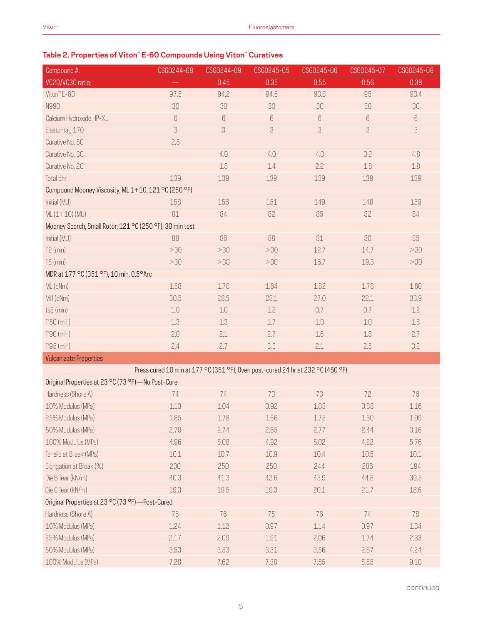# **Table 2. Properties of Viton™ E-60 Compounds Using Viton™ Curatives**

| Compound #:                                                                     | CSG0244-08 | CSG0244-09 | CSG0245-05 | CSG0245-06       | CSG0245-07 | CSG0245-08 |  |
|---------------------------------------------------------------------------------|------------|------------|------------|------------------|------------|------------|--|
| VC20/VC30 ratio:                                                                |            | 0.45       | 0.35       | 0.55             | 0.56       | 0.38       |  |
| Viton" E-60                                                                     | 97.5       | 94.2       | 94.6       | 93.8             | 95         | 93.4       |  |
| N990                                                                            | 30         | 30         | 30         | 30               | 30         | 30         |  |
| Calcium Hydroxide HP-XL                                                         | 6          | 6          | 6          | $\boldsymbol{6}$ | 6          | 6          |  |
| Elastomag 170                                                                   | 3          | 3          | 3          | 3                | 3          | 3          |  |
| Curative No. 50                                                                 | 2.5        |            |            |                  |            |            |  |
| Curative No. 30                                                                 |            | 4.0        | 4.0        | 4.0              | 3.2        | 4.8        |  |
| Curative No. 20                                                                 |            | 1.8        | 1.4        | 2.2              | 1.8        | 1.8        |  |
| Total phr                                                                       | 139        | 139        | 139        | 139              | 139        | 139        |  |
| Compound Mooney Viscosity, ML 1+10, 121 °C (250 °F)                             |            |            |            |                  |            |            |  |
| Initial (MU)                                                                    | 158        | 156        | 151        | 149              | 148        | 159        |  |
| $ML(1+10) (MU)$                                                                 | 81         | 84         | 82         | 85               | 82         | 84         |  |
| Mooney Scorch, Small Rotor, 121 °C (250 °F), 30 min test                        |            |            |            |                  |            |            |  |
| Initial (MU)                                                                    | 88         | 86         | 88         | 81               | 80         | 85         |  |
| $T2$ (min)                                                                      | >30        | >30        | >30        | 12.7             | 14.7       | >30        |  |
| $T5$ (min)                                                                      | >30        | >30        | >30        | 16.7             | 19.3       | >30        |  |
| MDR at 177 °C (351 °F), 10 min, 0.5°Arc                                         |            |            |            |                  |            |            |  |
| ML (dNm)                                                                        | 1.58       | 1.70       | 1.64       | 1.82             | 1.78       | 1.60       |  |
| MH (dNm)                                                                        | 30.5       | 28.5       | 28.1       | 27.0             | 22.1       | 33.9       |  |
| ts2 (min)                                                                       | $1.0\,$    | $1.0\,$    | 1.2        | 0.7              | 0.7        | 1.2        |  |
| T'50 (min)                                                                      | 1.3        | 1.3        | 1.7        | 1.0              | $1.0\,$    | $1.8\,$    |  |
| T'90 (min)                                                                      | 2.0        | 2.1        | 2.7        | 1.6              | 1.8        | 2.7        |  |
| T'95 (min)                                                                      | 2.4        | 2.7        | 3.3        | 2.1              | 2.5        | 3.2        |  |
| <b>Vulcanizate Properties</b>                                                   |            |            |            |                  |            |            |  |
| Press cured 10 min at 177 °C (351 °F), Oven post-cured 24 hr at 232 °C (450 °F) |            |            |            |                  |            |            |  |
| Original Properties at 23 °C (73 °F) - No Post-Cure                             |            |            |            |                  |            |            |  |
| Hardness (Shore A)                                                              | 74         | 74         | 73         | 73               | 72         | 76         |  |
| 10% Modulus (MPa)                                                               | 1.13       | 1.04       | 0.92       | 1.03             | 0.88       | 1.16       |  |
| 25% Modulus (MPa)                                                               | 1.85       | 1.78       | 1.66       | 1.75             | $1.60\,$   | 1.99       |  |
| 50% Modulus (MPa)                                                               | 2.79       | 2.74       | 2.65       | 2.77             | 2.44       | 3.16       |  |
| 100% Modulus (MPa)                                                              | 4.96       | 5.08       | 4.92       | 5.02             | 4.22       | 5.76       |  |
| Tensile at Break (MPa)                                                          | 10.1       | 10.7       | 10.9       | 10.4             | 10.5       | 10.1       |  |
| Elongation at Break (%)                                                         | 230        | 250        | 250        | 244              | 286        | 194        |  |
| Die B Tear (kN/m)                                                               | 40.3       | 41.3       | 42.6       | 43.9             | 44.8       | 39.5       |  |
| Die C Tear (kN/m)                                                               | 19.3       | 19.5       | 19.3       | 20.1             | 21.7       | 18.6       |  |
| Original Properties at 23 °C (73 °F)-Post-Cured                                 |            |            |            |                  |            |            |  |
| Hardness (Shore A)                                                              | 76         | 76         | 75         | 76               | 74         | 78         |  |
| 10% Modulus (MPa)                                                               | 1.24       | 1.12       | 0.97       | 1.14             | 0.97       | 1.34       |  |
| 25% Modulus (MPa)                                                               | 2.17       | 2.09       | 1.91       | 2.06             | 1.74       | 2.33       |  |
| 50% Modulus (MPa)                                                               | 3.53       | 3.53       | 3.31       | 3.56             | 2.87       | 4.24       |  |
| 100% Modulus (MPa)                                                              | 7.28       | 7.62       | 7.38       | 7.55             | 5.85       | 9.10       |  |

*continued*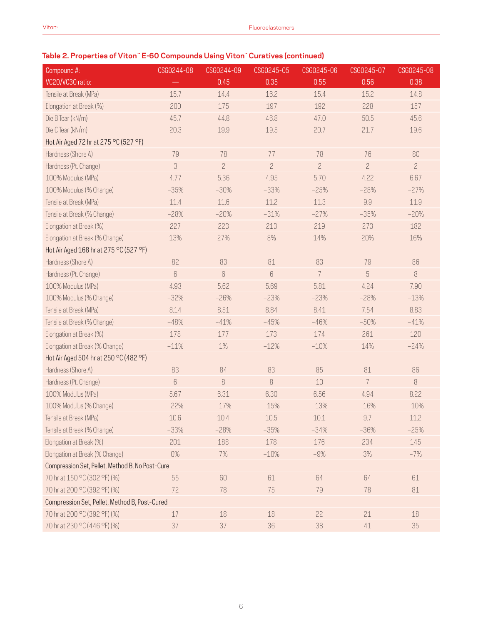# **Table 2. Properties of Viton™ E-60 Compounds Using Viton™ Curatives (continued)**

| Compound #:                                     | CSG0244-08 | CSG0244-09     | CSG0245-05     | CSG0245-06     | CSG0245-07     | CSG0245-08     |  |  |  |
|-------------------------------------------------|------------|----------------|----------------|----------------|----------------|----------------|--|--|--|
| VC20/VC30 ratio:                                |            | 0.45           | 0.35           | 0.55           | 0.56           | 0.38           |  |  |  |
| Tensile at Break (MPa)                          | 15.7       | 14.4           | 16.2           | 15.4           | 15.2           | 14.8           |  |  |  |
| Elongation at Break (%)                         | 200        | 175            | 197            | 192            | 228            | 157            |  |  |  |
| Die B Tear (kN/m)                               | 45.7       | 44.8           | 46.8           | 47.0           | 50.5           | 45.6           |  |  |  |
| Die C Tear (kN/m)                               | 20.3       | 19.9           | 19.5           | 20.7           | 21.7           | 19.6           |  |  |  |
| Hot Air Aged 72 hr at 275 °C (527 °F)           |            |                |                |                |                |                |  |  |  |
| Hardness (Shore A)                              | 79         | 78             | 77             | 78             | 76             | 80             |  |  |  |
| Hardness (Pt. Change)                           | 3          | $\overline{c}$ | $\overline{c}$ | $\overline{c}$ | $\overline{c}$ | $\overline{c}$ |  |  |  |
| 100% Modulus (MPa)                              | 4.77       | 5.36           | 4.95           | 5.70           | 4.22           | 6.67           |  |  |  |
| 100% Modulus (% Change)                         | $-35%$     | $-30%$         | $-33%$         | $-25%$         | $-28%$         | $-27%$         |  |  |  |
| Tensile at Break (MPa)                          | 11.4       | 11.6           | 11.2           | 11.3           | 9.9            | 11.9           |  |  |  |
| Tensile at Break (% Change)                     | $-28%$     | $-20%$         | $-31%$         | $-27%$         | $-35%$         | $-20%$         |  |  |  |
| Elongation at Break (%)                         | 227        | 223            | 213            | 219            | 273            | 182            |  |  |  |
| Elongation at Break (% Change)                  | 13%        | 27%            | 8%             | 14%            | 20%            | 16%            |  |  |  |
| Hot Air Aged 168 hr at 275 °C (527 °F)          |            |                |                |                |                |                |  |  |  |
| Hardness (Shore A)                              | 82         | 83             | 81             | 83             | 79             | 86             |  |  |  |
| Hardness (Pt. Change)                           | 6          | 6              | 6              | 7              | 5              | 8              |  |  |  |
| 100% Modulus (MPa)                              | 4.93       | 5.62           | 5.69           | 5.81           | 4.24           | 7.90           |  |  |  |
| 100% Modulus (% Change)                         | $-32%$     | $-26%$         | $-23%$         | $-23%$         | $-28%$         | $-13%$         |  |  |  |
| Tensile at Break (MPa)                          | 8.14       | 8.51           | 8.84           | 8.41           | 7.54           | 8.83           |  |  |  |
| Tensile at Break (% Change)                     | $-48%$     | $-41%$         | $-45%$         | $-46%$         | $-50%$         | $-41%$         |  |  |  |
| Elongation at Break (%)                         | 178        | 177            | 173            | 174            | 261            | 120            |  |  |  |
| Elongation at Break (% Change)                  | $-11%$     | 1%             | $-12%$         | $-10%$         | 14%            | $-24%$         |  |  |  |
| Hot Air Aged 504 hr at 250 °C (482 °F)          |            |                |                |                |                |                |  |  |  |
| Hardness (Shore A)                              | 83         | 84             | 83             | 85             | 81             | 86             |  |  |  |
| Hardness (Pt. Change)                           | $6\,$      | 8              | 8              | 10             | 7              | $\,8\,$        |  |  |  |
| 100% Modulus (MPa)                              | 5.67       | 6.31           | 6.30           | 6.56           | 4.94           | 8.22           |  |  |  |
| 100% Modulus (% Change)                         | $-22%$     | $-17%$         | $-15%$         | $-13%$         | $-16%$         | $-10%$         |  |  |  |
| Tensile at Break (MPa)                          | 10.6       | 10.4           | 10.5           | 10.1           | 9.7            | 11.2           |  |  |  |
| Tensile at Break (% Change)                     | $-33%$     | $-28%$         | $-35%$         | $-34%$         | $-36%$         | $-25%$         |  |  |  |
| Elongation at Break (%)                         | 201        | 188            | 178            | 176            | 234            | 145            |  |  |  |
| Elongation at Break (% Change)                  | 0%         | 7%             | $-10%$         | $-9%$          | $3\%$          | $-7%$          |  |  |  |
| Compression Set, Pellet, Method B, No Post-Cure |            |                |                |                |                |                |  |  |  |
| 70 hr at 150 °C (302 °F) (%)                    | 55         | 60             | 61             | 64             | 64             | 61             |  |  |  |
| 70 hr at 200 °C (392 °F) (%)                    | 72         | 78             | 75             | 79             | 78             | 81             |  |  |  |
| Compression Set, Pellet, Method B, Post-Cured   |            |                |                |                |                |                |  |  |  |
| 70 hr at 200 °C (392 °F) (%)                    | 17         | 18             | 18             | 22             | 21             | 18             |  |  |  |
| 70 hr at 230 °C (446 °F) (%)                    | 37         | 37             | 36             | 38             | $41\,$         | 35             |  |  |  |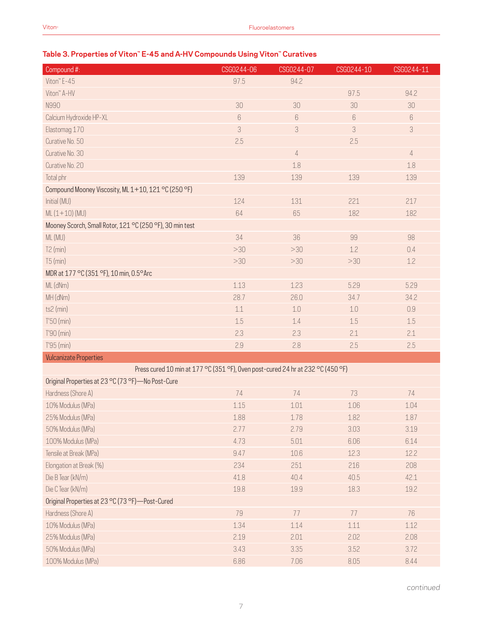# **Table 3. Properties of Viton™ E-45 and A-HV Compounds Using Viton™ Curatives**

| Compound #:                                                                     | CSG0244-06 | CSG0244-07     | CSG0244-10 | CSG0244-11     |
|---------------------------------------------------------------------------------|------------|----------------|------------|----------------|
| Viton" E-45                                                                     | 97.5       | 94.2           |            |                |
| Viton" A-HV                                                                     |            |                | 97.5       | 94.2           |
| N990                                                                            | 30         | 30             | 30         | 30             |
| Calcium Hydroxide HP-XL                                                         | 6          | 6              | 6          | 6              |
| Elastomag 170                                                                   | 3          | 3              | 3          | 3              |
| Curative No. 50                                                                 | 2.5        |                | 2.5        |                |
| Curative No. 30                                                                 |            | $\overline{4}$ |            | $\overline{4}$ |
| Curative No. 20                                                                 |            | 1.8            |            | 1.8            |
| Total phr                                                                       | 139        | 139            | 139        | 139            |
| Compound Mooney Viscosity, ML 1+10, 121 °C (250 °F)                             |            |                |            |                |
| Initial (MU)                                                                    | 124        | 131            | 221        | 217            |
| $ML(1+10)(MU)$                                                                  | 64         | 65             | 182        | 182            |
| Mooney Scorch, Small Rotor, 121 °C (250 °F), 30 min test                        |            |                |            |                |
| ML (MU)                                                                         | 34         | 36             | 99         | 98             |
| $T2$ (min)                                                                      | >30        | >30            | 1.2        | 0.4            |
| $T5$ (min)                                                                      | >30        | >30            | >30        | 1.2            |
| MDR at 177 °C (351 °F), 10 min, 0.5° Arc                                        |            |                |            |                |
| ML (dNm)                                                                        | 1.13       | 1.23           | 5.29       | 5.29           |
| MH (dNm)                                                                        | 28.7       | 26.0           | 34.7       | 34.2           |
| ts2 (min)                                                                       | 1.1        | 1.0            | 1.0        | 0.9            |
| $T'50$ (min)                                                                    | 1.5        | 1.4            | 1.5        | 1.5            |
| T'90 (min)                                                                      | 2.3        | 2.3            | 2.1        | 2.1            |
| T'95 (min)                                                                      | 2.9        | 2.8            | 2.5        | 2.5            |
| <b>Vulcanizate Properties</b>                                                   |            |                |            |                |
| Press cured 10 min at 177 °C (351 °F), Oven post-cured 24 hr at 232 °C (450 °F) |            |                |            |                |
| Original Properties at 23 °C (73 °F) - No Post-Cure                             |            |                |            |                |
| Hardness (Shore A)                                                              | 74         | 74             | 73         | 74             |
| 10% Modulus (MPa)                                                               | 1.15       | 1.01           | 1.06       | 1.04           |
| 25% Modulus (MPa)                                                               | 1.88       | 1.78           | 1.82       | $1.87\,$       |
| 50% Modulus (MPa)                                                               | 2.77       | 2.79           | 3.03       | 3.19           |
| 100% Modulus (MPa)                                                              | 4.73       | 5.01           | 6.06       | 6.14           |
| Tensile at Break (MPa)                                                          | 9.47       | 10.6           | 12.3       | 12.2           |
| Elongation at Break (%)                                                         | 234        | 251            | 216        | 208            |
| Die B Tear (kN/m)                                                               | 41.8       | 40.4           | 40.5       | 42.1           |
| Die C Tear (kN/m)                                                               | 19.8       | 19.9           | 18.3       | 19.2           |
| Original Properties at 23 °C (73 °F)-Post-Cured                                 |            |                |            |                |
| Hardness (Shore A)                                                              | 79         | 77             | 77         | 76             |
| 10% Modulus (MPa)                                                               | 1.34       | 1.14           | 1.11       | 1.12           |
| 25% Modulus (MPa)                                                               | 2.19       | 2.01           | 2.02       | 2.08           |
| 50% Modulus (MPa)                                                               | 3.43       | 3.35           | 3.52       | 3.72           |
| 100% Modulus (MPa)                                                              | 6.86       | 7.06           | 8.05       | 8.44           |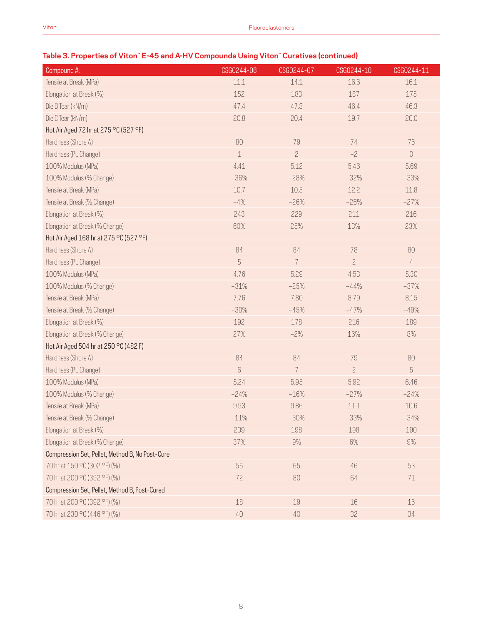# **Table 3. Properties of Viton™ E-45 and A-HV Compounds Using Viton™ Curatives (continued)**

| Compound #:                                     | CSG0244-06  | CSG0244-07     | CSG0244-10     | CSG0244-11     |
|-------------------------------------------------|-------------|----------------|----------------|----------------|
| Tensile at Break (MPa)                          | 11.1        | 14.1           | 16.6           | 16.1           |
| Elongation at Break (%)                         | 152         | 183            | 187            | 175            |
| Die B Tear (kN/m)                               | 47.4        | 47.8           | 46.4           | 46.3           |
| Die C Tear (kN/m)                               | 20.8        | 20.4           | 19.7           | 20.0           |
| Hot Air Aged 72 hr at 275 °C (527 °F)           |             |                |                |                |
| Hardness (Shore A)                              | 80          | 79             | 74             | 76             |
| Hardness (Pt. Change)                           | $\mathbf 1$ | $\overline{c}$ | $-2$           | $\bigcap$      |
| 100% Modulus (MPa)                              | 4.41        | 5.12           | 5.46           | 5.69           |
| 100% Modulus (% Change)                         | $-36%$      | $-28%$         | $-32%$         | $-33%$         |
| Tensile at Break (MPa)                          | 10.7        | 10.5           | 12.2           | 11.8           |
| Tensile at Break (% Change)                     | $-4%$       | $-26%$         | $-26%$         | $-27%$         |
| Elongation at Break (%)                         | 243         | 229            | 211            | 216            |
| Elongation at Break (% Change)                  | 60%         | 25%            | 13%            | 23%            |
| Hot Air Aged 168 hr at 275 °C (527 °F)          |             |                |                |                |
| Hardness (Shore A)                              | 84          | 84             | 78             | 80             |
| Hardness (Pt. Change)                           | 5           | 7              | $\overline{c}$ | $\overline{4}$ |
| 100% Modulus (MPa)                              | 4.76        | 5.29           | 4.53           | 5.30           |
| 100% Modulus (% Change)                         | $-31%$      | $-25%$         | $-44%$         | $-37%$         |
| Tensile at Break (MPa)                          | 7.76        | 7.80           | 8.79           | 8.15           |
| Tensile at Break (% Change)                     | $-30%$      | $-45%$         | $-47%$         | $-49%$         |
| Elongation at Break (%)                         | 192         | 178            | 216            | 189            |
| Elongation at Break (% Change)                  | 27%         | $-2%$          | 16%            | 8%             |
| Hot Air Aged 504 hr at 250 °C (482 F)           |             |                |                |                |
| Hardness (Shore A)                              | 84          | 84             | 79             | 80             |
| Hardness (Pt. Change)                           | 6           | 7              | $\overline{c}$ | 5              |
| 100% Modulus (MPa)                              | 5.24        | 5.95           | 5.92           | 6.46           |
| 100% Modulus (% Change)                         | $-24%$      | $-16%$         | $-27%$         | $-24%$         |
| Tensile at Break (MPa)                          | 9.93        | 9.86           | 11.1           | 10.6           |
| Tensile at Break (% Change)                     | $-11%$      | $-30%$         | $-33%$         | $-34%$         |
| Elongation at Break (%)                         | 209         | 198            | 198            | 190            |
| Elongation at Break (% Change)                  | 37%         | 9%             | 6%             | $9\%$          |
| Compression Set, Pellet, Method B, No Post-Cure |             |                |                |                |
| 70 hr at 150 °C (302 °F) (%)                    | 56          | 65             | 46             | 53             |
| 70 hr at 200 °C (392 °F) (%)                    | 72          | 80             | 64             | 71             |
| Compression Set, Pellet, Method B, Post-Cured   |             |                |                |                |
| 70 hr at 200 °C (392 °F) (%)                    | 18          | $19\,$         | 16             | $16\,$         |
| 70 hr at 230 °C (446 °F) (%)                    | $40\,$      | $40\,$         | 32             | 34             |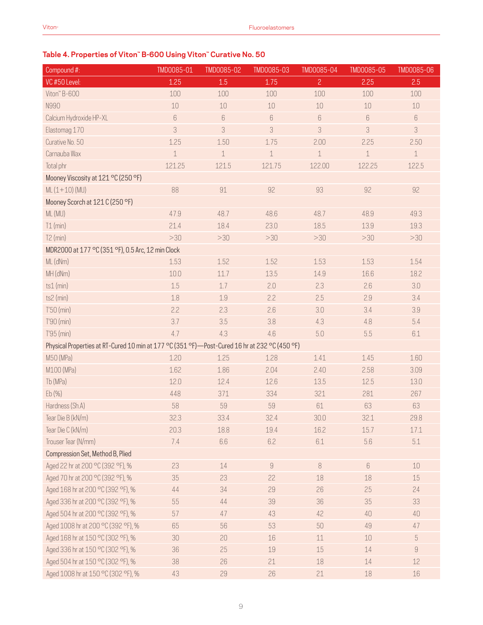# **Table 4. Properties of Viton™ B-600 Using Viton™ Curative No. 50**

| Compound #:                                                                                   | TMD0085-01 | TMD0085-02  | TMD0085-03 | TMD0085-04     | TMD0085-05  | TMD0085-06       |
|-----------------------------------------------------------------------------------------------|------------|-------------|------------|----------------|-------------|------------------|
| VC #50 Level:                                                                                 | 1.25       | 1.5         | 1.75       | $\overline{2}$ | 2.25        | 2.5              |
| Viton" B-600                                                                                  | 100        | 100         | 100        | 100            | 100         | 100              |
| N990                                                                                          | 10         | 10          | 10         | 10             | 10          | $10\,$           |
| Calcium Hydroxide HP-XL                                                                       | 6          | 6           | 6          | $6\,$          | 6           | $\boldsymbol{6}$ |
| Elastomag 170                                                                                 | 3          | 3           | 3          | 3              | 3           | 3                |
| Curative No. 50                                                                               | 1.25       | 1.50        | 1.75       | 2.00           | 2.25        | 2.50             |
| Carnauba Wax                                                                                  | $\perp$    | $\mathbf 1$ | $\perp$    | $\mathbf 1$    | $\mathbf 1$ | $\perp$          |
| Total phr                                                                                     | 121.25     | 121.5       | 121.75     | 122.00         | 122.25      | 122.5            |
| Mooney Viscosity at 121 °C (250 °F)                                                           |            |             |            |                |             |                  |
| $ML(1+10)(MU)$                                                                                | 88         | 91          | 92         | 93             | 92          | 92               |
| Mooney Scorch at 121 C (250 °F)                                                               |            |             |            |                |             |                  |
| ML (MU)                                                                                       | 47.9       | 48.7        | 48.6       | 48.7           | 48.9        | 49.3             |
| $T1$ (min)                                                                                    | 21.4       | 18.4        | 23.0       | 18.5           | 13.9        | 19.3             |
| $T2$ (min)                                                                                    | >30        | >30         | $>30$      | >30            | >30         | >30              |
| MDR2000 at 177 °C (351 °F), 0.5 Arc, 12 min Clock                                             |            |             |            |                |             |                  |
| ML (dNm)                                                                                      | 1.53       | 1.52        | 1.52       | 1.53           | 1.53        | 1.54             |
| MH (dNm)                                                                                      | 10.0       | 11.7        | 13.5       | 14.9           | 16.6        | 18.2             |
| $ts1$ (min)                                                                                   | 1.5        | 1.7         | 2.0        | 2.3            | 2.6         | 3.0              |
| ts2 (min)                                                                                     | 1.8        | 1.9         | 2.2        | 2.5            | 2.9         | 3.4              |
| $T'50$ (min)                                                                                  | 2.2        | 2.3         | 2.6        | 3.0            | 3.4         | 3.9              |
| T'90 (min)                                                                                    | 3.7        | 3.5         | 3.8        | 4.3            | 4.8         | 5.4              |
| T'95 (min)                                                                                    | 4.7        | 4.3         | 4.6        | $5.0\,$        | 5.5         | $6.1\,$          |
| Physical Properties at RT-Cured 10 min at 177 °C (351 °F)-Post-Cured 16 hr at 232 °C (450 °F) |            |             |            |                |             |                  |
| M50 (MPa)                                                                                     | 1.20       | 1.25        | 1.28       | 1.41           | 1.45        | 1.60             |
| M100 (MPa)                                                                                    | 1.62       | 1.86        | 2.04       | 2.40           | 2.58        | 3.09             |
| Tb (MPa)                                                                                      | 12.0       | 12.4        | 12.6       | 13.5           | 12.5        | 13.0             |
| Eb(%)                                                                                         | 448        | 371         | 334        | 321            | 281         | 267              |
| Hardness (Sh.A)                                                                               | 58         | 59          | 59         | 61             | 63          | 63               |
| Tear Die B (kN/m)                                                                             | 32.3       | 33.4        | 32.4       | 30.0           | 32.1        | 29.8             |
| Tear Die C (kN/m)                                                                             | 20.3       | 18.8        | 19.4       | 16.2           | 15.7        | 17.1             |
| Trouser Tear (N/mm)                                                                           | 7.4        | 6.6         | 6.2        | 6.1            | 5.6         | 5.1              |
| Compression Set, Method B, Plied                                                              |            |             |            |                |             |                  |
| Aged 22 hr at 200 °C (392 °F), %                                                              | 23         | $14\,$      | $\hbox{g}$ | $\, 8$         | $6\,$       | 10               |
| Aged 70 hr at 200 °C (392 °F), %                                                              | 35         | 23          | 22         | 18             | 18          | 15               |
| Aged 168 hr at 200 °C (392 °F), %                                                             | 44         | 34          | 29         | 26             | 25          | 24               |
| Aged 336 hr at 200 °C (392 °F), %                                                             | 55         | $44$        | 39         | 36             | 35          | 33               |
| Aged 504 hr at 200 °C (392 °F), %                                                             | 57         | 47          | 43         | 42             | 40          | 40               |
| Aged 1008 hr at 200 °C (392 °F), %                                                            | 65         | 56          | 53         | 50             | 49          | 47               |
| Aged 168 hr at 150 °C (302 °F), %                                                             | 30         | 20          | 16         | 11             | $10$        | $\sqrt{5}$       |
| Aged 336 hr at 150 °C (302 °F), %                                                             | 36         | 25          | 19         | 15             | 14          | $\hbox{g}$       |
| Aged 504 hr at 150 °C (302 °F), %                                                             | 38         | 26          | 21         | 18             | 14          | 12               |
| Aged 1008 hr at 150 °C (302 °F), %                                                            | 43         | 29          | 26         | 21             | 18          | 16               |